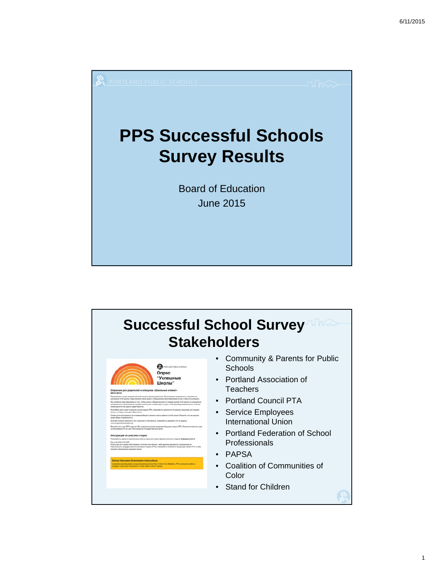

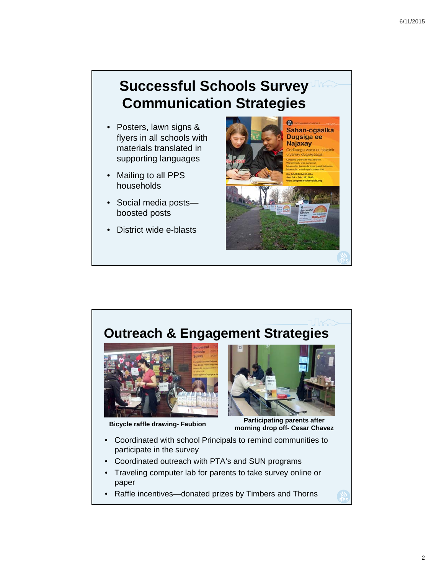## **Successful Schools Survey Communication Strategies**

- Posters, lawn signs & flyers in all schools with materials translated in supporting languages
- Mailing to all PPS households
- Social media posts boosted posts
- District wide e-blasts



## **Outreach & Engagement Strategies**





**Bicycle raffle drawing- Faubion Participating parents after Bicycle raffle drawing- Faubion morning drop off- Cesar Chavez** 

- Coordinated with school Principals to remind communities to participate in the survey
- Coordinated outreach with PTA's and SUN programs
- Traveling computer lab for parents to take survey online or paper
- Raffle incentives—donated prizes by Timbers and Thorns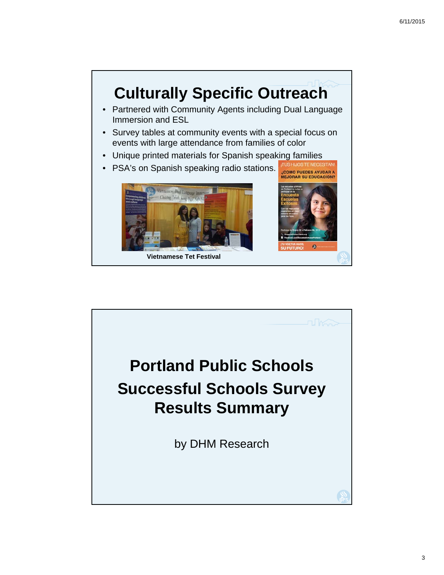